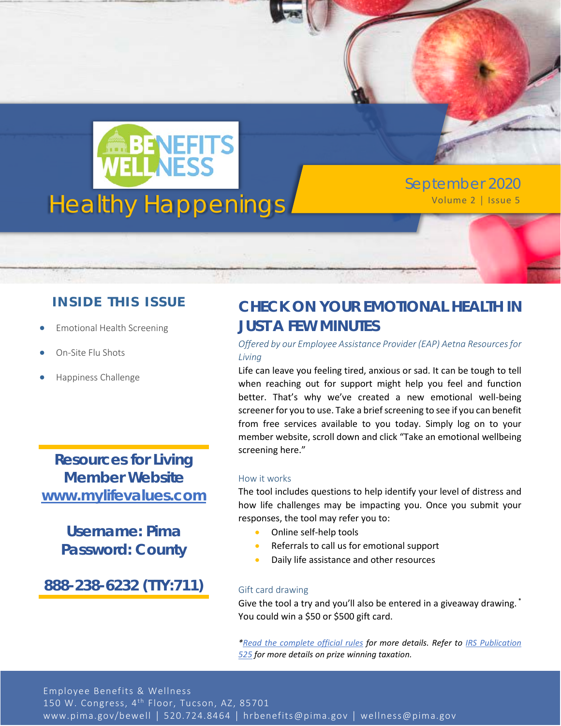

September 2020

### **INSIDE THIS ISSUE**

- Emotional Health Screening
- On-Site Flu Shots
- Happiness Challenge

**Resources for Living Member Website [www.mylifevalues.com](http://www.mylifevalues.com/)**

### **Username: Pima Password: County**

**888-238-6232 (TTY:711)**

## **CHECK ON YOUR EMOTIONAL HEALTH IN JUST A FEW MINUTES**

#### *Offered by our Employee Assistance Provider (EAP) Aetna Resources for Living*

Life can leave you feeling tired, anxious or sad. It can be tough to tell when reaching out for support might help you feel and function better. That's why we've created a new emotional well-being screener for you to use. Take a brief screening to see if you can benefit from free services available to you today. Simply log on to your member website, scroll down and click "Take an emotional wellbeing screening here."

#### How it works

The tool includes questions to help identify your level of distress and how life challenges may be impacting you. Once you submit your responses, the tool may refer you to:

- Online self-help tools
- Referrals to call us for emotional support
- Daily life assistance and other resources

#### Gift card drawing

Give the tool a try and you'll also be entered in a giveaway drawing. \* You could win a \$50 or \$500 gift card.

*[\\*Read the complete official rules](http://www.promoinfotools.com/Communications/ecard/Svcs/ScreeningTool/OfficialRulesQ3.pdf) for more details. Refer to [IRS Publication](https://www.irs.gov/pub/irs-pdf/p525.pdf)  [525](https://www.irs.gov/pub/irs-pdf/p525.pdf) for more details on prize winning taxation.*

Employee Benefits & Wellness 150 W. Congress, 4<sup>th</sup> Floor, Tucson, AZ, 85701 www.pima.gov/bewell │ 520.724.8464 │ hrbenefits@pima.gov │ wellness@pima.gov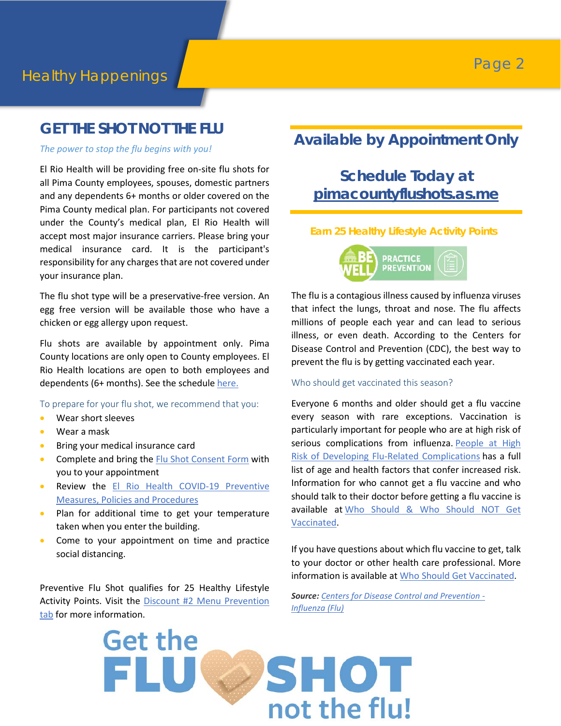### **GET THE SHOT NOT THE FLU**

*The power to stop the flu begins with you!*

El Rio Health will be providing free on-site flu shots for all Pima County employees, spouses, domestic partners and any dependents 6+ months or older covered on the Pima County medical plan. For participants not covered under the County's medical plan, El Rio Health will accept most major insurance carriers. Please bring your medical insurance card. It is the participant's responsibility for any charges that are not covered under your insurance plan.

The flu shot type will be a preservative-free version. An egg free version will be available those who have a chicken or egg allergy upon request.

Flu shots are available by appointment only. Pima County locations are only open to County employees. El Rio Health locations are open to both employees and dependents (6+ months). See the schedule [here.](https://webcms.pima.gov/cms/One.aspx?portalId=169&pageId=36006)

To prepare for your flu shot, we recommend that you:

- Wear short sleeves
- Wear a mask
- Bring your medical insurance card
- Complete and bring the [Flu Shot Consent Form](https://webcms.pima.gov/UserFiles/Servers/Server_6/File/Government/Human%20Resources/Wellness/Flu%20Shots/Flu%20Shot%20Consent%20Form.pdf) with you to your appointment
- Review the El Rio Health COVID-19 Preventive [Measures, Policies and Procedures](https://webcms.pima.gov/UserFiles/Servers/Server_6/File/Government/Human%20Resources/Wellness/Flu%20Shots/El%20Rio%20Health%20COVID-19%20Preventive%20Measures,%20Policies%20and%20Procedures.pdf)
- Plan for additional time to get your temperature taken when you enter the building.
- Come to your appointment on time and practice social distancing.

Preventive Flu Shot qualifies for 25 Healthy Lifestyle Activity Points. Visit the Discount #2 Menu Prevention [tab](https://webcms.pima.gov/cms/One.aspx?portalId=169&pageId=474239) for more information.

## **Available by Appointment Only**

# **[Schedule](http://www.assuredimaging.com/AZ/) Today at [pimacountyflushots.as.me](https://pimacountyflushots.as.me/)**

#### **Earn 25 Healthy Lifestyle Activity Points**



The flu is a contagious illness caused by influenza viruses that infect the lungs, throat and nose. The flu affects millions of people each year and can lead to serious illness, or even death. According to the Centers for Disease Control and Prevention (CDC), the best way to prevent the flu is by getting vaccinated each year.

#### Who should get vaccinated this season?

Everyone 6 months and older should get a flu vaccine every season with rare exceptions. Vaccination is particularly important for people who are at high risk of serious complications from influenza. People at High [Risk of Developing Flu-Related Complications](https://www.cdc.gov/flu/highrisk/index.htm) has a full list of age and health factors that confer increased risk. Information for who cannot get a flu vaccine and who should talk to their doctor before getting a flu vaccine is available at Who Should & Who Should NOT Get [Vaccinated.](https://www.cdc.gov/flu/prevent/whoshouldvax.htm)

If you have questions about which flu vaccine to get, talk to your doctor or other health care professional. More information is available at [Who Should Get Vaccinated.](https://www.cdc.gov/flu/prevent/whoshouldvax.htm)

*Source: [Centers for Disease Control and Prevention -](https://www.cdc.gov/flu/index.htm) [Influenza \(Flu\)](https://www.cdc.gov/flu/index.htm)*